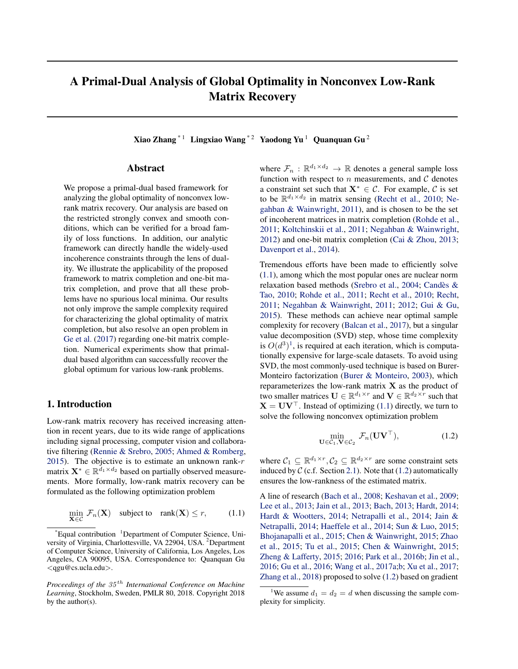# <span id="page-0-0"></span>A Primal-Dual Analysis of Global Optimality in Nonconvex Low-Rank Matrix Recovery

Xiao Zhang \* 1 Lingxiao Wang \* 2 Yaodong Yu 1 Quanquan Gu 2

## Abstract

We propose a primal-dual based framework for analyzing the global optimality of nonconvex lowrank matrix recovery. Our analysis are based on the restricted strongly convex and smooth conditions, which can be verified for a broad family of loss functions. In addition, our analytic framework can directly handle the widely-used incoherence constraints through the lens of duality. We illustrate the applicability of the proposed framework to matrix completion and one-bit matrix completion, and prove that all these problems have no spurious local minima. Our results not only improve the sample complexity required for characterizing the global optimality of matrix completion, but also resolve an open problem in [Ge et al.](#page-8-0) [\(2017\)](#page-8-0) regarding one-bit matrix completion. Numerical experiments show that primaldual based algorithm can successfully recover the global optimum for various low-rank problems.

# 1. Introduction

Low-rank matrix recovery has received increasing attention in recent years, due to its wide range of applications including signal processing, computer vision and collaborative filtering [\(Rennie & Srebro,](#page-9-0) [2005;](#page-9-0) [Ahmed & Romberg,](#page-8-0) [2015\)](#page-8-0). The objective is to estimate an unknown rank- $r$ matrix  $\mathbf{X}^* \in \mathbb{R}^{\bar{d}_1 \times d_2}$  based on partially observed measurements. More formally, low-rank matrix recovery can be formulated as the following optimization problem

$$
\min_{\mathbf{X} \in \mathcal{C}} \mathcal{F}_n(\mathbf{X}) \quad \text{subject to} \quad \text{rank}(\mathbf{X}) \le r, \tag{1.1}
$$

where  $\mathcal{F}_n : \mathbb{R}^{d_1 \times d_2} \to \mathbb{R}$  denotes a general sample loss function with respect to  $n$  measurements, and  $C$  denotes a constraint set such that  $X^* \in \mathcal{C}$ . For example,  $\mathcal{C}$  is set to be  $\mathbb{R}^{d_1 \times d_2}$  in matrix sensing [\(Recht et al.,](#page-9-0) [2010;](#page-9-0) [Ne](#page-9-0)[gahban & Wainwright,](#page-9-0) [2011\)](#page-9-0), and is chosen to be the set of incoherent matrices in matrix completion [\(Rohde et al.,](#page-9-0) [2011;](#page-9-0) [Koltchinskii et al.,](#page-8-0) [2011;](#page-8-0) [Negahban & Wainwright,](#page-9-0) [2012\)](#page-9-0) and one-bit matrix completion [\(Cai & Zhou,](#page-8-0) [2013;](#page-8-0) [Davenport et al.,](#page-8-0) [2014\)](#page-8-0).

Tremendous efforts have been made to efficiently solve (1.1), among which the most popular ones are nuclear norm relaxation based methods [\(Srebro et al.,](#page-9-0) [2004;](#page-9-0) [Candes &](#page-8-0) ` [Tao,](#page-8-0) [2010;](#page-8-0) [Rohde et al.,](#page-9-0) [2011;](#page-9-0) [Recht et al.,](#page-9-0) [2010;](#page-9-0) [Recht,](#page-9-0) [2011;](#page-9-0) [Negahban & Wainwright,](#page-9-0) [2011;](#page-9-0) [2012;](#page-9-0) [Gui & Gu,](#page-8-0) [2015\)](#page-8-0). These methods can achieve near optimal sample complexity for recovery [\(Balcan et al.,](#page-8-0) [2017\)](#page-8-0), but a singular value decomposition (SVD) step, whose time complexity is  $O(d^3)^1$ , is required at each iteration, which is computationally expensive for large-scale datasets. To avoid using SVD, the most commonly-used technique is based on Burer-Monteiro factorization [\(Burer & Monteiro,](#page-8-0) [2003\)](#page-8-0), which reparameterizes the low-rank matrix  $X$  as the product of two smaller matrices  $\mathbf{U} \in \mathbb{R}^{d_1 \times r}$  and  $\mathbf{V} \in \mathbb{R}^{d_2 \times r}$  such that  $X = UV^{\top}$ . Instead of optimizing (1.1) directly, we turn to solve the following nonconvex optimization problem

$$
\min_{\mathbf{U}\in\mathcal{C}_1,\mathbf{V}\in\mathcal{C}_2} \mathcal{F}_n(\mathbf{U}\mathbf{V}^\top),\tag{1.2}
$$

where  $C_1 \subseteq \mathbb{R}^{d_1 \times r}$ ,  $C_2 \subseteq \mathbb{R}^{d_2 \times r}$  are some constraint sets induced by  $C$  (c.f. Section [2.1\)](#page-2-0). Note that (1.2) automatically ensures the low-rankness of the estimated matrix.

A line of research [\(Bach et al.,](#page-8-0) [2008;](#page-8-0) [Keshavan et al.,](#page-8-0) [2009;](#page-8-0) [Lee et al.,](#page-9-0) [2013;](#page-9-0) [Jain et al.,](#page-8-0) [2013;](#page-8-0) [Bach,](#page-8-0) [2013;](#page-8-0) [Hardt,](#page-8-0) [2014;](#page-8-0) [Hardt & Wootters,](#page-8-0) [2014;](#page-8-0) [Netrapalli et al.,](#page-9-0) [2014;](#page-9-0) [Jain &](#page-8-0) [Netrapalli,](#page-8-0) [2014;](#page-8-0) [Haeffele et al.,](#page-8-0) [2014;](#page-8-0) [Sun & Luo,](#page-9-0) [2015;](#page-9-0) [Bhojanapalli et al.,](#page-8-0) [2015;](#page-8-0) [Chen & Wainwright,](#page-8-0) [2015;](#page-8-0) [Zhao](#page-9-0) [et al.,](#page-9-0) [2015;](#page-9-0) [Tu et al.,](#page-9-0) [2015;](#page-9-0) [Chen & Wainwright,](#page-8-0) [2015;](#page-8-0) [Zheng & Lafferty,](#page-9-0) [2015;](#page-9-0) [2016;](#page-9-0) [Park et al.,](#page-9-0) [2016b;](#page-9-0) [Jin et al.,](#page-8-0) [2016;](#page-8-0) [Gu et al.,](#page-8-0) [2016;](#page-8-0) [Wang et al.,](#page-9-0) [2017a;b;](#page-9-0) [Xu et al.,](#page-9-0) [2017;](#page-9-0) [Zhang et al.,](#page-9-0) [2018\)](#page-9-0) proposed to solve (1.2) based on gradient

 $E$ qual contribution  $1$ Department of Computer Science, University of Virginia, Charlottesville, VA 22904, USA. <sup>2</sup>Department of Computer Science, University of California, Los Angeles, Los Angeles, CA 90095, USA. Correspondence to: Quanquan Gu <qgu@cs.ucla.edu>.

*Proceedings of the*  $35<sup>th</sup>$  *International Conference on Machine Learning*, Stockholm, Sweden, PMLR 80, 2018. Copyright 2018 by the author(s).

<sup>&</sup>lt;sup>1</sup>We assume  $d_1 = d_2 = d$  when discussing the sample complexity for simplicity.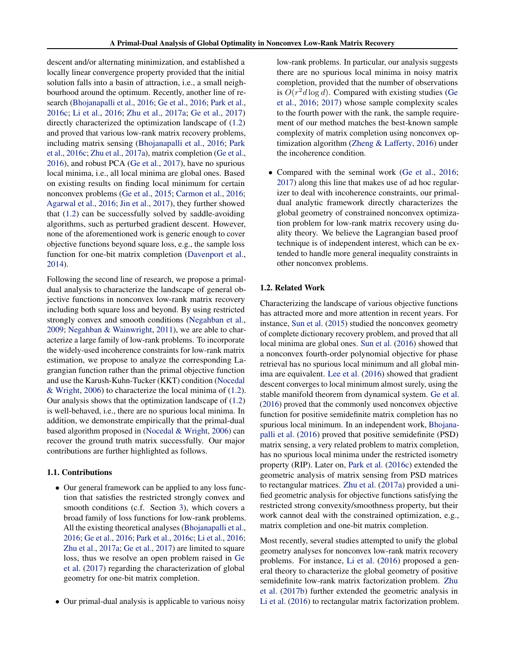descent and/or alternating minimization, and established a locally linear convergence property provided that the initial solution falls into a basin of attraction, i.e., a small neighbourhood around the optimum. Recently, another line of research [\(Bhojanapalli et al.,](#page-8-0) [2016;](#page-8-0) [Ge et al.,](#page-8-0) [2016;](#page-8-0) [Park et al.,](#page-9-0) [2016c;](#page-9-0) [Li et al.,](#page-9-0) [2016;](#page-9-0) [Zhu et al.,](#page-9-0) [2017a;](#page-9-0) [Ge et al.,](#page-8-0) [2017\)](#page-8-0) directly characterized the optimization landscape of [\(1.2\)](#page-0-0) and proved that various low-rank matrix recovery problems, including matrix sensing [\(Bhojanapalli et al.,](#page-8-0) [2016;](#page-8-0) [Park](#page-9-0) [et al.,](#page-9-0) [2016c;](#page-9-0) [Zhu et al.,](#page-9-0) [2017a\)](#page-9-0), matrix completion [\(Ge et al.,](#page-8-0) [2016\)](#page-8-0), and robust PCA [\(Ge et al.,](#page-8-0) [2017\)](#page-8-0), have no spurious local minima, i.e., all local minima are global ones. Based on existing results on finding local minimum for certain nonconvex problems [\(Ge et al.,](#page-8-0) [2015;](#page-8-0) [Carmon et al.,](#page-8-0) [2016;](#page-8-0) [Agarwal et al.,](#page-8-0) [2016;](#page-8-0) [Jin et al.,](#page-8-0) [2017\)](#page-8-0), they further showed that [\(1.2\)](#page-0-0) can be successfully solved by saddle-avoiding algorithms, such as perturbed gradient descent. However, none of the aforementioned work is generic enough to cover objective functions beyond square loss, e.g., the sample loss function for one-bit matrix completion [\(Davenport et al.,](#page-8-0) [2014\)](#page-8-0).

Following the second line of research, we propose a primaldual analysis to characterize the landscape of general objective functions in nonconvex low-rank matrix recovery including both square loss and beyond. By using restricted strongly convex and smooth conditions [\(Negahban et al.,](#page-9-0) [2009;](#page-9-0) [Negahban & Wainwright,](#page-9-0) [2011\)](#page-9-0), we are able to characterize a large family of low-rank problems. To incorporate the widely-used incoherence constraints for low-rank matrix estimation, we propose to analyze the corresponding Lagrangian function rather than the primal objective function and use the Karush-Kuhn-Tucker (KKT) condition [\(Nocedal](#page-9-0) [& Wright,](#page-9-0) [2006\)](#page-9-0) to characterize the local minima of [\(1.2\)](#page-0-0). Our analysis shows that the optimization landscape of [\(1.2\)](#page-0-0) is well-behaved, i.e., there are no spurious local minima. In addition, we demonstrate empirically that the primal-dual based algorithm proposed in [\(Nocedal & Wright,](#page-9-0) [2006\)](#page-9-0) can recover the ground truth matrix successfully. Our major contributions are further highlighted as follows.

#### 1.1. Contributions

- Our general framework can be applied to any loss function that satisfies the restricted strongly convex and smooth conditions (c.f. Section [3\)](#page-3-0), which covers a broad family of loss functions for low-rank problems. All the existing theoretical analyses [\(Bhojanapalli et al.,](#page-8-0) [2016;](#page-8-0) [Ge et al.,](#page-8-0) [2016;](#page-8-0) [Park et al.,](#page-9-0) [2016c;](#page-9-0) [Li et al.,](#page-9-0) [2016;](#page-9-0) [Zhu et al.,](#page-9-0) [2017a;](#page-9-0) [Ge et al.,](#page-8-0) [2017\)](#page-8-0) are limited to square loss, thus we resolve an open problem raised in [Ge](#page-8-0) [et al.](#page-8-0) [\(2017\)](#page-8-0) regarding the characterization of global geometry for one-bit matrix completion.
- Our primal-dual analysis is applicable to various noisy

low-rank problems. In particular, our analysis suggests there are no spurious local minima in noisy matrix completion, provided that the number of observations is  $O(r^2d \log d)$ . Compared with existing studies [\(Ge](#page-8-0) [et al.,](#page-8-0) [2016;](#page-8-0) [2017\)](#page-8-0) whose sample complexity scales to the fourth power with the rank, the sample requirement of our method matches the best-known sample complexity of matrix completion using nonconvex optimization algorithm [\(Zheng & Lafferty,](#page-9-0) [2016\)](#page-9-0) under the incoherence condition.

• Compared with the seminal work [\(Ge et al.,](#page-8-0) [2016;](#page-8-0) [2017\)](#page-8-0) along this line that makes use of ad hoc regularizer to deal with incoherence constraints, our primaldual analytic framework directly characterizes the global geometry of constrained nonconvex optimization problem for low-rank matrix recovery using duality theory. We believe the Lagrangian based proof technique is of independent interest, which can be extended to handle more general inequality constraints in other nonconvex problems.

## 1.2. Related Work

Characterizing the landscape of various objective functions has attracted more and more attention in recent years. For instance, [Sun et al.](#page-9-0) [\(2015\)](#page-9-0) studied the nonconvex geometry of complete dictionary recovery problem, and proved that all local minima are global ones. [Sun et al.](#page-9-0) [\(2016\)](#page-9-0) showed that a nonconvex fourth-order polynomial objective for phase retrieval has no spurious local minimum and all global minima are equivalent. [Lee et al.](#page-9-0) [\(2016\)](#page-9-0) showed that gradient descent converges to local minimum almost surely, using the stable manifold theorem from dynamical system. [Ge et al.](#page-8-0) [\(2016\)](#page-8-0) proved that the commonly used nonconvex objective function for positive semidefinite matrix completion has no spurious local minimum. In an independent work, [Bhojana](#page-8-0)[palli et al.](#page-8-0) [\(2016\)](#page-8-0) proved that positive semidefinite (PSD) matrix sensing, a very related problem to matrix completion, has no spurious local minima under the restricted isometry property (RIP). Later on, [Park et al.](#page-9-0) [\(2016c\)](#page-9-0) extended the geometric analysis of matrix sensing from PSD matrices to rectangular matrices. [Zhu et al.](#page-9-0) [\(2017a\)](#page-9-0) provided a unified geometric analysis for objective functions satisfying the restricted strong convexity/smoothness property, but their work cannot deal with the constrained optimization, e.g., matrix completion and one-bit matrix completion.

Most recently, several studies attempted to unify the global geometry analyses for nonconvex low-rank matrix recovery problems. For instance, [Li et al.](#page-9-0) [\(2016\)](#page-9-0) proposed a general theory to characterize the global geometry of positive semidefinite low-rank matrix factorization problem. [Zhu](#page-9-0) [et al.](#page-9-0) [\(2017b\)](#page-9-0) further extended the geometric analysis in [Li et al.](#page-9-0) [\(2016\)](#page-9-0) to rectangular matrix factorization problem.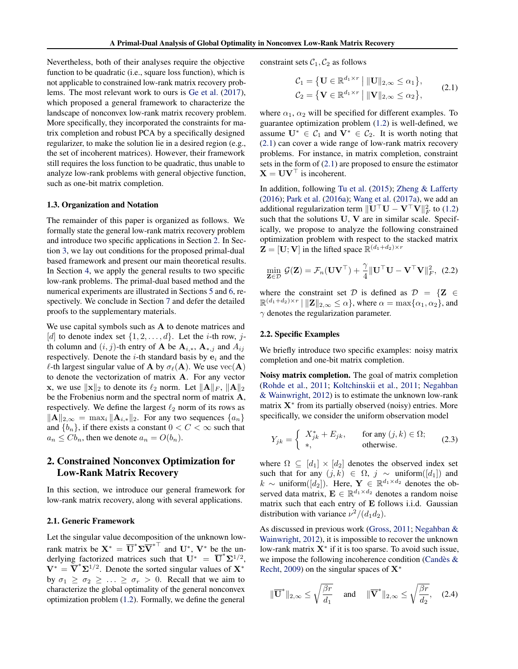<span id="page-2-0"></span>Nevertheless, both of their analyses require the objective function to be quadratic (i.e., square loss function), which is not applicable to constrained low-rank matrix recovery problems. The most relevant work to ours is [Ge et al.](#page-8-0) [\(2017\)](#page-8-0), which proposed a general framework to characterize the landscape of nonconvex low-rank matrix recovery problem. More specifically, they incorporated the constraints for matrix completion and robust PCA by a specifically designed regularizer, to make the solution lie in a desired region (e.g., the set of incoherent matrices). However, their framework still requires the loss function to be quadratic, thus unable to analyze low-rank problems with general objective function, such as one-bit matrix completion.

#### 1.3. Organization and Notation

The remainder of this paper is organized as follows. We formally state the general low-rank matrix recovery problem and introduce two specific applications in Section 2. In Section [3,](#page-3-0) we lay out conditions for the proposed primal-dual based framework and present our main theoretical results. In Section [4,](#page-4-0) we apply the general results to two specific low-rank problems. The primal-dual based method and the numerical experiments are illustrated in Sections [5](#page-5-0) and [6,](#page-6-0) respectively. We conclude in Section [7](#page-7-0) and defer the detailed proofs to the supplementary materials.

We use capital symbols such as A to denote matrices and [d] to denote index set  $\{1, 2, \ldots, d\}$ . Let the *i*-th row, *j*th column and  $(i, j)$ -th entry of **A** be  $A_{i,*}$ ,  $A_{*,j}$  and  $A_{ij}$ respectively. Denote the  $i$ -th standard basis by  $e_i$  and the  $\ell$ -th largest singular value of **A** by  $\sigma_{\ell}(A)$ . We use  $\text{vec}(A)$ to denote the vectorization of matrix A. For any vector **x**, we use  $\|\mathbf{x}\|_2$  to denote its  $\ell_2$  norm. Let  $\|\mathbf{A}\|_F$ ,  $\|\mathbf{A}\|_2$ be the Frobenius norm and the spectral norm of matrix A, respectively. We define the largest  $\ell_2$  norm of its rows as  $\|\mathbf{A}\|_{2,\infty} = \max_i \|\mathbf{A}_{i,*}\|_2$ . For any two sequences  $\{a_n\}$ and  ${b_n}$ , if there exists a constant  $0 < C < \infty$  such that  $a_n \leq Cb_n$ , then we denote  $a_n = O(b_n)$ .

# 2. Constrained Nonconvex Optimization for Low-Rank Matrix Recovery

In this section, we introduce our general framework for low-rank matrix recovery, along with several applications.

#### 2.1. Generic Framework

Let the singular value decomposition of the unknown lowrank matrix be  $X^* = \overline{U}^* \Sigma \overline{V}^{*T}$  and  $U^*$ ,  $V^*$  be the underlying factorized matrices such that  $\mathbf{U}^* = \overline{\mathbf{U}}^* \Sigma^{1/2}$ ,  $V^* = \overline{V}^* \Sigma^{1/2}$ . Denote the sorted singular values of  $X^*$ by  $\sigma_1 \ge \sigma_2 \ge \ldots \ge \sigma_r > 0$ . Recall that we aim to characterize the global optimality of the general nonconvex optimization problem [\(1.2\)](#page-0-0). Formally, we define the general

constraint sets  $C_1, C_2$  as follows

$$
\mathcal{C}_1 = \{ \mathbf{U} \in \mathbb{R}^{d_1 \times r} \mid ||\mathbf{U}||_{2,\infty} \le \alpha_1 \},
$$
  
\n
$$
\mathcal{C}_2 = \{ \mathbf{V} \in \mathbb{R}^{d_1 \times r} \mid ||\mathbf{V}||_{2,\infty} \le \alpha_2 \},
$$
\n(2.1)

where  $\alpha_1$ ,  $\alpha_2$  will be specified for different examples. To guarantee optimization problem [\(1.2\)](#page-0-0) is well-defined, we assume  $\mathbf{U}^* \in C_1$  and  $\mathbf{V}^* \in C_2$ . It is worth noting that (2.1) can cover a wide range of low-rank matrix recovery problems. For instance, in matrix completion, constraint sets in the form of (2.1) are proposed to ensure the estimator  $X = UV^{\top}$  is incoherent.

In addition, following [Tu et al.](#page-9-0) [\(2015\)](#page-9-0); [Zheng & Lafferty](#page-9-0) [\(2016\)](#page-9-0); [Park et al.](#page-9-0) [\(2016a\)](#page-9-0); [Wang et al.](#page-9-0) [\(2017a\)](#page-9-0), we add an additional regularization term  $\|\mathbf{U}^\top \mathbf{U} - \mathbf{V}^\top \mathbf{V}\|_F^2$  to [\(1.2\)](#page-0-0) such that the solutions U, V are in similar scale. Specifically, we propose to analyze the following constrained optimization problem with respect to the stacked matrix  $\mathbf{Z} = [\mathbf{U}; \mathbf{V}]$  in the lifted space  $\mathbb{R}^{(d_1+d_2) \times r}$ 

$$
\min_{\mathbf{Z}\in\mathcal{D}} \mathcal{G}(\mathbf{Z}) = \mathcal{F}_n(\mathbf{U}\mathbf{V}^{\top}) + \frac{\gamma}{4} \|\mathbf{U}^{\top}\mathbf{U} - \mathbf{V}^{\top}\mathbf{V}\|_F^2, (2.2)
$$

where the constraint set D is defined as  $D = \{Z \in$  $\mathbb{R}^{(d_1+d_2)\times r} \mid \|\mathbf{Z}\|_{2,\infty} \leq \alpha\},\,$  where  $\alpha = \max\{\alpha_1,\alpha_2\},\,$  and  $\gamma$  denotes the regularization parameter.

#### 2.2. Specific Examples

We briefly introduce two specific examples: noisy matrix completion and one-bit matrix completion.

Noisy matrix completion. The goal of matrix completion [\(Rohde et al.,](#page-9-0) [2011;](#page-9-0) [Koltchinskii et al.,](#page-8-0) [2011;](#page-8-0) [Negahban](#page-9-0) [& Wainwright,](#page-9-0) [2012\)](#page-9-0) is to estimate the unknown low-rank matrix  $X^*$  from its partially observed (noisy) entries. More specifically, we consider the uniform observation model

$$
Y_{jk} = \begin{cases} X_{jk}^* + E_{jk}, & \text{for any } (j,k) \in \Omega; \\ * , & \text{otherwise.} \end{cases}
$$
 (2.3)

where  $\Omega \subseteq [d_1] \times [d_2]$  denotes the observed index set such that for any  $(j, k) \in \Omega$ ,  $j \sim \text{uniform}([d_1])$  and  $k \sim$  uniform([d<sub>2</sub>]). Here, **Y** ∈  $\mathbb{R}^{d_1 \times d_2}$  denotes the observed data matrix,  $\mathbf{E} \in \mathbb{R}^{d_1 \times d_2}$  denotes a random noise matrix such that each entry of E follows i.i.d. Gaussian distribution with variance  $\nu^2/(d_1d_2)$ .

As discussed in previous work [\(Gross,](#page-8-0) [2011;](#page-8-0) [Negahban &](#page-9-0) [Wainwright,](#page-9-0) [2012\)](#page-9-0), it is impossible to recover the unknown low-rank matrix  $X^*$  if it is too sparse. To avoid such issue, we impose the following incoherence condition (Candès & [Recht,](#page-8-0) [2009\)](#page-8-0) on the singular spaces of  $X^*$ 

$$
\|\overline{\mathbf{U}}^*\|_{2,\infty} \le \sqrt{\frac{\beta r}{d_1}} \quad \text{ and } \quad \|\overline{\mathbf{V}}^*\|_{2,\infty} \le \sqrt{\frac{\beta r}{d_2}}, \quad (2.4)
$$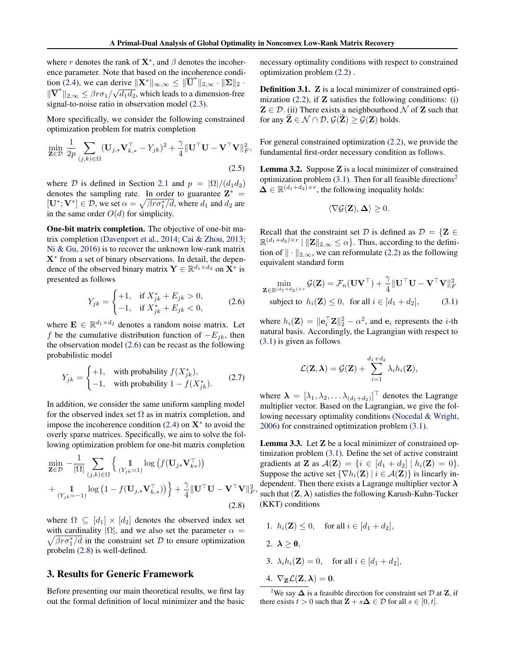<span id="page-3-0"></span>where r denotes the rank of  $X^*$ , and  $\beta$  denotes the incoherence parameter. Note that based on the incoherence condi-tion [\(2.4\)](#page-2-0), we can derive  $\|\mathbf{X}^*\|_{\infty,\infty} \le \|\overline{\mathbf{U}}^*\|_{2,\infty} \cdot \|\mathbf{\Sigma}\|_2$ .  $\|\overline{\mathbf{V}}^*\|_{2,\infty} \leq \beta r \sigma_1/\sqrt{d_1d_2}$ , which leads to a dimension-free signal-to-noise ratio in observation model [\(2.3\)](#page-2-0).

More specifically, we consider the following constrained optimization problem for matrix completion

$$
\min_{\mathbf{Z}\in\mathcal{D}}\frac{1}{2p}\sum_{(j,k)\in\Omega}(\mathbf{U}_{j,*}\mathbf{V}_{k,*}^{\top}-Y_{jk})^{2}+\frac{\gamma}{4}\|\mathbf{U}^{\top}\mathbf{U}-\mathbf{V}^{\top}\mathbf{V}\|_{F}^{2},
$$
\n(2.5)

where D is defined in Section [2.1](#page-2-0) and  $p = |\Omega|/(d_1 d_2)$ denotes the sampling rate. In order to guarantee  $\mathbf{Z}^*$  =  $[\mathbf{U}^*; \mathbf{V}^*] \in \mathcal{D}$ , we set  $\alpha = \sqrt{\beta r \sigma_1^* / d}$ , where  $d_1$  and  $d_2$  are in the same order  $O(d)$  for simplicity.

One-bit matrix completion. The objective of one-bit matrix completion [\(Davenport et al.,](#page-8-0) [2014;](#page-8-0) [Cai & Zhou,](#page-8-0) [2013;](#page-8-0) [Ni & Gu,](#page-9-0) [2016\)](#page-9-0) is to recover the unknown low-rank matrix X<sup>∗</sup> from a set of binary observations. In detail, the dependence of the observed binary matrix  $\mathbf{Y} \in \mathbb{R}^{d_1 \times d_2}$  on  $\mathbf{X}^*$  is presented as follows

$$
Y_{jk} = \begin{cases} +1, & \text{if } X_{jk}^* + E_{jk} > 0, \\ -1, & \text{if } X_{jk}^* + E_{jk} < 0, \end{cases}
$$
 (2.6)

where  $\mathbf{E} \in \mathbb{R}^{d_1 \times d_2}$  denotes a random noise matrix. Let f be the cumulative distribution function of  $-E_{ik}$ , then the observation model (2.6) can be recast as the following probabilistic model

$$
Y_{jk} = \begin{cases} +1, & \text{with probability } f(X_{jk}^*), \\ -1, & \text{with probability } 1 - f(X_{jk}^*). \end{cases}
$$
 (2.7)

In addition, we consider the same uniform sampling model for the observed index set  $\Omega$  as in matrix completion, and impose the incoherence condition  $(2.4)$  on  $X^*$  to avoid the overly sparse matrices. Specifically, we aim to solve the following optimization problem for one-bit matrix completion

$$
\min_{\mathbf{Z} \in \mathcal{D}} -\frac{1}{|\Omega|} \sum_{(j,k)\in\Omega} \left\{ \mathbf{1}_{(Y_{jk}=1)} \log \left( f(\mathbf{U}_{j*} \mathbf{V}_{k*}^{\top}) \right) + \frac{1}{\mathbf{1}_{(Y_{jk}=-1)}} \log \left( 1 - f(\mathbf{U}_{j,*} \mathbf{V}_{k,*}^{\top}) \right) \right\} + \frac{\gamma}{4} ||\mathbf{U}^{\top} \mathbf{U} - \mathbf{V}^{\top} \mathbf{V}||^{2}
$$
\n(2.8)

where  $\Omega \subseteq [d_1] \times [d_2]$  denotes the observed index set with cardinality  $|\Omega|$ , and we also set the parameter  $\alpha =$  $\sqrt{\beta r \sigma_1^* / d}$  in the constraint set D to ensure optimization probelm (2.8) is well-defined.

## 3. Results for Generic Framework

Before presenting our main theoretical results, we first lay out the formal definition of local minimizer and the basic necessary optimality conditions with respect to constrained optimization problem [\(2.2\)](#page-2-0) .

Definition 3.1. Z is a local minimizer of constrained optimization  $(2.2)$ , if **Z** satisfies the following conditions: (i)  $\mathbf{Z} \in \mathcal{D}$ . (ii) There exists a neighbourhood  $\mathcal N$  of  $\mathbf Z$  such that for any  $\mathbf{Z} \in \mathcal{N} \cap \mathcal{D}, \mathcal{G}(\mathbf{Z}) \geq \mathcal{G}(\mathbf{Z})$  holds.

For general constrained optimization [\(2.2\)](#page-2-0), we provide the fundamental first-order necessary condition as follows.

Lemma 3.2. Suppose Z is a local minimizer of constrained optimization problem  $(3.1)$ . Then for all feasible directions<sup>2</sup>  $\Delta \in \mathbb{R}^{(d_1+d_2)\times r}$ , the following inequality holds:

$$
\langle \nabla \mathcal{G}(\mathbf{Z}), \Delta \rangle \geq 0.
$$

Recall that the constraint set D is defined as  $D = \{Z \in$  $\mathbb{R}^{(d_1+d_2)\times r} \mid \|\mathbf{Z}\|_{2,\infty} \leq \alpha\}.$  Thus, according to the definition of  $\|\cdot\|_{2,\infty}$ , we can reformulate [\(2.2\)](#page-2-0) as the following equivalent standard form

$$
\min_{\mathbf{Z} \in \mathbb{R}^{(d_1+d_2)\times r}} \mathcal{G}(\mathbf{Z}) = \mathcal{F}_n(\mathbf{U}\mathbf{V}^\top) + \frac{\gamma}{4} \|\mathbf{U}^\top \mathbf{U} - \mathbf{V}^\top \mathbf{V}\|_F^2
$$
  
subject to  $h_i(\mathbf{Z}) \le 0$ , for all  $i \in [d_1+d_2]$ , (3.1)

where  $h_i(\mathbf{Z}) = ||\mathbf{e}_i^\top \mathbf{Z}||_2^2 - \alpha^2$ , and  $\mathbf{e}_i$  represents the *i*-th natural basis. Accordingly, the Lagrangian with respect to (3.1) is given as follows

$$
\mathcal{L}(\mathbf{Z}, \boldsymbol{\lambda}) = \mathcal{G}(\mathbf{Z}) + \sum_{i=1}^{d_1 + d_2} \lambda_i h_i(\mathbf{Z}),
$$

where  $\boldsymbol{\lambda} = [\lambda_1, \lambda_2, \dots \lambda_{(d_1+d_2)}]^\top$  denotes the Lagrange multiplier vector. Based on the Lagrangian, we give the following necessary optimality conditions [\(Nocedal & Wright,](#page-9-0) [2006\)](#page-9-0) for constrained optimization problem (3.1).

 $\overline{P}$  appendent. Then there exists a Lagrange multiplier vector  $\lambda$ <br> $\overline{F}$  such that  $(\mathbf{Z}, \lambda)$  satisfies the following Karush-Kuhn-Tucker Lemma 3.3. Let Z be a local minimizer of constrained optimization problem (3.1). Define the set of active constraint gradients at **Z** as  $\mathcal{A}(\mathbf{Z}) = \{i \in [d_1 + d_2] \mid h_i(\mathbf{Z}) = 0\}.$ Suppose the active set  $\{\nabla h_i(\mathbf{Z}) \mid i \in \mathcal{A}(\mathbf{Z})\}$  is linearly independent. Then there exists a Lagrange multiplier vector  $\lambda$ (KKT) conditions

- 1.  $h_i(\mathbf{Z}) \leq 0$ , for all  $i \in [d_1 + d_2]$ ,
- 2.  $\lambda > 0$ ,
- 3.  $\lambda_i h_i(\mathbf{Z}) = 0$ , for all  $i \in [d_1 + d_2]$ ,
- 4.  $\nabla_{\mathbf{Z}} \mathcal{L}(\mathbf{Z}, \boldsymbol{\lambda}) = \mathbf{0}.$

<sup>&</sup>lt;sup>2</sup>We say  $\Delta$  is a feasible direction for constraint set  $\mathcal D$  at **Z**, if there exists  $t > 0$  such that  $\mathbf{Z} + s\mathbf{\Delta} \in \mathcal{D}$  for all  $s \in [0, t]$ .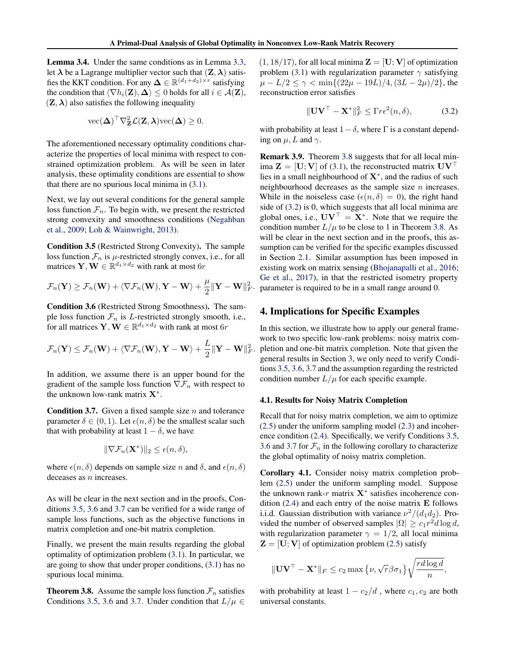<span id="page-4-0"></span>Lemma 3.4. Under the same conditions as in Lemma [3.3,](#page-3-0) let  $\lambda$  be a Lagrange multiplier vector such that  $(\mathbf{Z}, \lambda)$  satisfies the KKT condition. For any  $\Delta \in \mathbb{R}^{(d_1+d_2)\times r}$  satisfying the condition that  $\langle \nabla h_i(\mathbf{Z}), \Delta \rangle \leq 0$  holds for all  $i \in \mathcal{A}(\mathbf{Z}),$  $(Z, \lambda)$  also satisfies the following inequality

$$
\text{vec}(\boldsymbol{\Delta})^{\top} \nabla_{\mathbf{Z}}^{2} \mathcal{L}(\mathbf{Z}, \boldsymbol{\lambda}) \text{vec}(\boldsymbol{\Delta}) \geq 0.
$$

The aforementioned necessary optimality conditions characterize the properties of local minima with respect to constrained optimization problem. As will be seen in later analysis, these optimality conditions are essential to show that there are no spurious local minima in [\(3.1\)](#page-3-0).

Next, we lay out several conditions for the general sample loss function  $\mathcal{F}_n$ . To begin with, we present the restricted strong convexity and smoothness conditions [\(Negahban](#page-9-0) [et al.,](#page-9-0) [2009;](#page-9-0) [Loh & Wainwright,](#page-9-0) [2013\)](#page-9-0).

Condition 3.5 (Restricted Strong Convexity). The sample loss function  $\mathcal{F}_n$  is  $\mu$ -restricted strongly convex, i.e., for all matrices  $\mathbf{Y}, \mathbf{W} \in \mathbb{R}^{d_1 \times d_2}$  with rank at most  $6r$ 

$$
\mathcal{F}_n(\mathbf{Y}) \geq \mathcal{F}_n(\mathbf{W}) + \langle \nabla \mathcal{F}_n(\mathbf{W}), \mathbf{Y} - \mathbf{W} \rangle + \frac{\mu}{2} ||\mathbf{Y} - \mathbf{W}||^2_F.
$$

Condition 3.6 (Restricted Strong Smoothness). The sample loss function  $\mathcal{F}_n$  is *L*-restricted strongly smooth, i.e., for all matrices  $\mathbf{Y}, \mathbf{W} \in \mathbb{R}^{d_1 \times d_2}$  with rank at most  $6r$ 

$$
\mathcal{F}_n(\mathbf{Y}) \leq \mathcal{F}_n(\mathbf{W}) + \langle \nabla \mathcal{F}_n(\mathbf{W}), \mathbf{Y} - \mathbf{W} \rangle + \frac{L}{2} ||\mathbf{Y} - \mathbf{W}||^2_F.
$$

In addition, we assume there is an upper bound for the gradient of the sample loss function  $\nabla \mathcal{F}_n$  with respect to the unknown low-rank matrix  $X^*$ .

**Condition 3.7.** Given a fixed sample size  $n$  and tolerance parameter  $\delta \in (0, 1)$ . Let  $\epsilon(n, \delta)$  be the smallest scalar such that with probability at least  $1 - \delta$ , we have

$$
\|\nabla \mathcal{F}_n(\mathbf{X}^*)\|_2 \leq \epsilon(n,\delta),
$$

where  $\epsilon(n, \delta)$  depends on sample size n and  $\delta$ , and  $\epsilon(n, \delta)$ deceases as *n* increases.

As will be clear in the next section and in the proofs, Conditions 3.5, 3.6 and 3.7 can be verified for a wide range of sample loss functions, such as the objective functions in matrix completion and one-bit matrix completion.

Finally, we present the main results regarding the global optimality of optimization problem [\(3.1\)](#page-3-0). In particular, we are going to show that under proper conditions, [\(3.1\)](#page-3-0) has no spurious local minima.

**Theorem 3.8.** Assume the sample loss function  $\mathcal{F}_n$  satisfies Conditions 3.5, 3.6 and 3.7. Under condition that  $L/\mu \in$   $(1, 18/17)$ , for all local minima  $\mathbf{Z} = [\mathbf{U}; \mathbf{V}]$  of optimization problem [\(3.1\)](#page-3-0) with regularization parameter  $\gamma$  satisfying  $\mu - L/2 \leq \gamma < \min\{(22\mu - 19L)/4, (3L - 2\mu)/2\}$ , the reconstruction error satisfies

$$
\|\mathbf{U}\mathbf{V}^{\top} - \mathbf{X}^*\|_F^2 \leq \Gamma r \epsilon^2(n, \delta), \tag{3.2}
$$

with probability at least  $1-\delta$ , where  $\Gamma$  is a constant depending on  $\mu$ , L and  $\gamma$ .

Remark 3.9. Theorem 3.8 suggests that for all local minima  $\mathbf{Z} = [\mathbf{U}; \mathbf{V}]$  of [\(3.1\)](#page-3-0), the reconstructed matrix  $\mathbf{U}\mathbf{V}^{\top}$ lies in a small neighbourhood of  $X^*$ , and the radius of such neighbourhood decreases as the sample size  $n$  increases. While in the noiseless case ( $\epsilon(n, \delta) = 0$ ), the right hand side of (3.2) is 0, which suggests that all local minima are global ones, i.e.,  $\mathbf{U}\mathbf{V}^{\top} = \mathbf{X}^*$ . Note that we require the condition number  $L/\mu$  to be close to 1 in Theorem 3.8. As will be clear in the next section and in the proofs, this assumption can be verified for the specific examples discussed in Section [2.1.](#page-2-0) Similar assumption has been imposed in existing work on matrix sensing [\(Bhojanapalli et al.,](#page-8-0) [2016;](#page-8-0) [Ge et al.,](#page-8-0) [2017\)](#page-8-0), in that the restricted isometry property parameter is required to be in a small range around 0.

## 4. Implications for Specific Examples

In this section, we illustrate how to apply our general framework to two specific low-rank problems: noisy matrix completion and one-bit matrix completion. Note that given the general results in Section [3,](#page-3-0) we only need to verify Conditions 3.5, 3.6, 3.7 and the assumption regarding the restricted condition number  $L/\mu$  for each specific example.

### 4.1. Results for Noisy Matrix Completion

Recall that for noisy matrix completion, we aim to optimize [\(2.5\)](#page-3-0) under the uniform sampling model [\(2.3\)](#page-2-0) and incoherence condition [\(2.4\)](#page-2-0). Specifically, we verify Conditions 3.5, 3.6 and 3.7 for  $\mathcal{F}_n$  in the following corollary to characterize the global optimality of noisy matrix completion.

Corollary 4.1. Consider noisy matrix completion problem [\(2.5\)](#page-3-0) under the uniform sampling model. Suppose the unknown rank-r matrix  $X^*$  satisfies incoherence condition  $(2.4)$  and each entry of the noise matrix  $\bf{E}$  follows i.i.d. Gaussian distribution with variance  $\nu^2/(d_1d_2)$ . Provided the number of observed samples  $|\Omega| \geq c_1 r^2 d \log d$ , with regularization parameter  $\gamma = 1/2$ , all local minima  $\mathbf{Z} = [\mathbf{U}; \mathbf{V}]$  of optimization problem [\(2.5\)](#page-3-0) satisfy

$$
\|\mathbf{U}\mathbf{V}^{\top}-\mathbf{X}^*\|_F \leq c_2 \max\left\{\nu, \sqrt{r}\beta \sigma_1\right\} \sqrt{\frac{rd\log d}{n}},
$$

with probability at least  $1 - c_2/d$ , where  $c_1, c_2$  are both universal constants.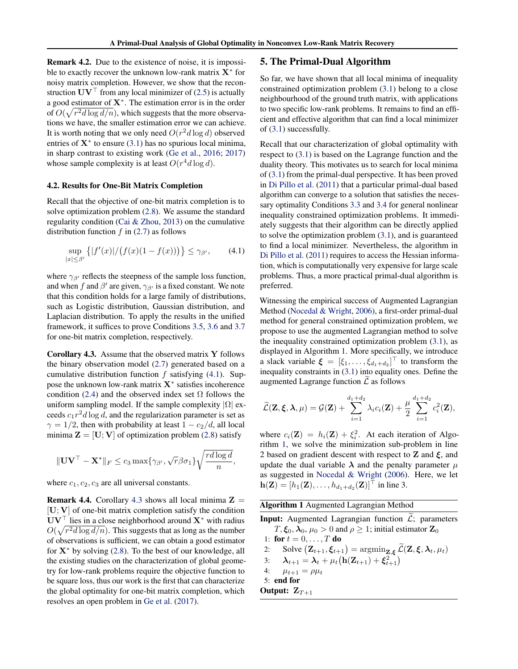<span id="page-5-0"></span>Remark 4.2. Due to the existence of noise, it is impossible to exactly recover the unknown low-rank matrix  $X^*$  for noisy matrix completion. However, we show that the reconstruction  $UV<sup>T</sup>$  from any local minimizer of [\(2.5\)](#page-3-0) is actually a good estimator of  $X^*$ . The estimation error is in the order of  $O(\sqrt{r^2d\log d/n})$ , which suggests that the more observations we have, the smaller estimation error we can achieve. It is worth noting that we only need  $O(r^2d \log d)$  observed entries of  $X^*$  to ensure [\(3.1\)](#page-3-0) has no spurious local minima, in sharp contrast to existing work [\(Ge et al.,](#page-8-0) [2016;](#page-8-0) [2017\)](#page-8-0) whose sample complexity is at least  $O(r^4d \log d)$ .

#### 4.2. Results for One-Bit Matrix Completion

Recall that the objective of one-bit matrix completion is to solve optimization problem [\(2.8\)](#page-3-0). We assume the standard regularity condition [\(Cai & Zhou,](#page-8-0) [2013\)](#page-8-0) on the cumulative distribution function  $f$  in [\(2.7\)](#page-3-0) as follows

$$
\sup_{|x| \le \beta'} \{|f'(x)|/(f(x)(1 - f(x)))\} \le \gamma_{\beta'}, \qquad (4.1)
$$

where  $\gamma_{\beta'}$  reflects the steepness of the sample loss function, and when f and  $\beta'$  are given,  $\gamma_{\beta'}$  is a fixed constant. We note that this condition holds for a large family of distributions, such as Logistic distribution, Gaussian distribution, and Laplacian distribution. To apply the results in the unified framework, it suffices to prove Conditions [3.5,](#page-4-0) [3.6](#page-4-0) and [3.7](#page-4-0) for one-bit matrix completion, respectively.

Corollary 4.3. Assume that the observed matrix Y follows the binary observation model [\(2.7\)](#page-3-0) generated based on a cumulative distribution function f satisfying  $(4.1)$ . Suppose the unknown low-rank matrix  $X^*$  satisfies incoherence condition [\(2.4\)](#page-2-0) and the observed index set  $\Omega$  follows the uniform sampling model. If the sample complexity  $|\Omega|$  exceeds  $c_1 r^2 d \log d$ , and the regularization parameter is set as  $\gamma = 1/2$ , then with probability at least  $1 - c_2/d$ , all local minima  $\mathbf{Z} = [\mathbf{U}; \mathbf{V}]$  of optimization problem [\(2.8\)](#page-3-0) satisfy

$$
\|\mathbf{U}\mathbf{V}^{\top}-\mathbf{X}^*\|_F \le c_3 \max\{\gamma_{\beta'},\sqrt{r}\beta\sigma_1\}\sqrt{\frac{rd\log d}{n}},
$$

where  $c_1, c_2, c_3$  are all universal constants.

**Remark 4.4.** Corollary 4.3 shows all local minima  $\mathbf{Z} =$  $[U; V]$  of one-bit matrix completion satisfy the condition  $UV^{\top}$  lies in a close neighborhood around  $X^*$  with radius  $O(\sqrt{r^2d\log d/n})$ . This suggests that as long as the number of observations is sufficient, we can obtain a good estimator for  $X^*$  by solving [\(2.8\)](#page-3-0). To the best of our knowledge, all the existing studies on the characterization of global geometry for low-rank problems require the objective function to be square loss, thus our work is the first that can characterize the global optimality for one-bit matrix completion, which resolves an open problem in [Ge et al.](#page-8-0) [\(2017\)](#page-8-0).

## 5. The Primal-Dual Algorithm

So far, we have shown that all local minima of inequality constrained optimization problem [\(3.1\)](#page-3-0) belong to a close neighbourhood of the ground truth matrix, with applications to two specific low-rank problems. It remains to find an efficient and effective algorithm that can find a local minimizer of [\(3.1\)](#page-3-0) successfully.

Recall that our characterization of global optimality with respect to [\(3.1\)](#page-3-0) is based on the Lagrange function and the duality theory. This motivates us to search for local minima of [\(3.1\)](#page-3-0) from the primal-dual perspective. It has been proved in [Di Pillo et al.](#page-8-0) [\(2011\)](#page-8-0) that a particular primal-dual based algorithm can converge to a solution that satisfies the necessary optimality Conditions [3.3](#page-3-0) and [3.4](#page-4-0) for general nonlinear inequality constrained optimization problems. It immediately suggests that their algorithm can be directly applied to solve the optimization problem [\(3.1\)](#page-3-0), and is guaranteed to find a local minimizer. Nevertheless, the algorithm in [Di Pillo et al.](#page-8-0) [\(2011\)](#page-8-0) requires to access the Hessian information, which is computationally very expensive for large scale problems. Thus, a more practical primal-dual algorithm is preferred.

Witnessing the empirical success of Augmented Lagrangian Method [\(Nocedal & Wright,](#page-9-0) [2006\)](#page-9-0), a first-order primal-dual method for general constrained optimization problem, we propose to use the augmented Lagrangian method to solve the inequality constrained optimization problem [\(3.1\)](#page-3-0), as displayed in Algorithm 1. More specifically, we introduce a slack variable  $\boldsymbol{\xi} = [\xi_1, \dots, \xi_{d_1+d_2}]^\top$  to transform the inequality constraints in [\(3.1\)](#page-3-0) into equality ones. Define the augmented Lagrange function  $\mathcal L$  as follows

$$
\widetilde{\mathcal{L}}(\mathbf{Z}, \boldsymbol{\xi}, \boldsymbol{\lambda}, \mu) = \mathcal{G}(\mathbf{Z}) + \sum_{i=1}^{d_1 + d_2} \lambda_i c_i(\mathbf{Z}) + \frac{\mu}{2} \sum_{i=1}^{d_1 + d_2} c_i^2(\mathbf{Z}),
$$

where  $c_i(\mathbf{Z}) = h_i(\mathbf{Z}) + \xi_i^2$ . At each iteration of Algorithm 1, we solve the minimization sub-problem in line 2 based on gradient descent with respect to **Z** and  $\xi$ , and update the dual variable  $\lambda$  and the penalty parameter  $\mu$ as suggested in [Nocedal & Wright](#page-9-0) [\(2006\)](#page-9-0). Here, we let  $\mathbf{h}(\mathbf{Z}) = [h_1(\mathbf{Z}), \dots, h_{d_1+d_2}(\mathbf{Z})]^\top$  in line 3.

| <b>Algorithm 1</b> Augmented Lagrangian Method |  |  |
|------------------------------------------------|--|--|
|                                                |  |  |

**Input:** Augmented Lagrangian function  $\widetilde{\mathcal{L}}$ ; parameters  $T, \xi_0, \lambda_0, \mu_0 > 0$  and  $\rho \ge 1$ ; initial estimator  $\mathbf{Z}_0$ 1: for  $t = 0, \ldots, T$  do 2: Solve  $(\mathbf{Z}_{t+1}, \boldsymbol{\xi}_{t+1}) = \operatorname{argmin}_{\mathbf{Z}, \boldsymbol{\xi}} \widetilde{\mathcal{L}}(\mathbf{Z}, \boldsymbol{\xi}, \boldsymbol{\lambda}_t, \mu_t)$ 3:  $\lambda_{t+1} = \lambda_t + \mu_t (\mathbf{h}(\mathbf{Z}_{t+1}) + \boldsymbol{\xi}_{t+1}^2)$ 4:  $\mu_{t+1} = \rho \mu_t$ 5: end for Output:  $Z_{T+1}$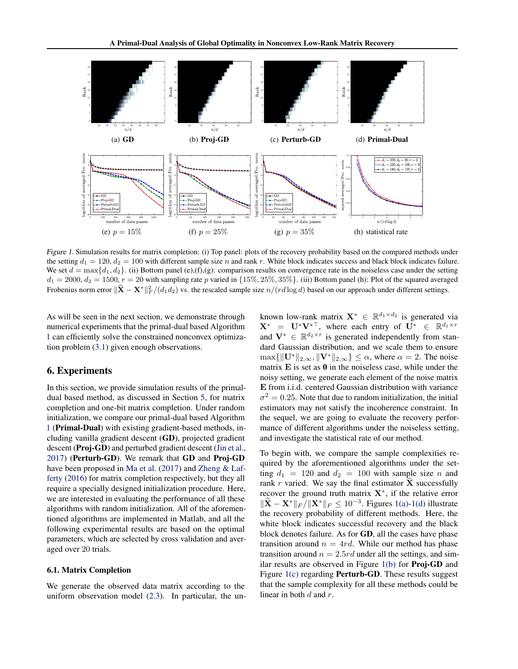<span id="page-6-0"></span>

Figure 1. Simulation results for matrix completion: (i) Top panel: plots of the recovery probability based on the compared methods under the setting  $d_1 = 120$ ,  $d_2 = 100$  with different sample size n and rank r. White block indicates success and black block indicates failure. We set  $d = \max\{d_1, d_2\}$ . (ii) Bottom panel (e),(f),(g): comparison results on convergence rate in the noiseless case under the setting  $d_1 = 2000, d_2 = 1500, r = 20$  with sampling rate p varied in  $\{15\%, 25\%, 35\%\}$ . (iii) Bottom panel (h): Plot of the squared averaged Frobenius norm error  $\|\hat{\mathbf{X}} - \mathbf{X}^*\|_F^2/(d_1d_2)$  vs. the rescaled sample size  $n/(rd \log d)$  based on our approach under different settings.

As will be seen in the next section, we demonstrate through numerical experiments that the primal-dual based Algorithm [1](#page-5-0) can efficiently solve the constrained nonconvex optimization problem [\(3.1\)](#page-3-0) given enough observations.

## 6. Experiments

In this section, we provide simulation results of the primaldual based method, as discussed in Section [5,](#page-5-0) for matrix completion and one-bit matrix completion. Under random initialization, we compare our primal-dual based Algorithm [1](#page-5-0) (Primal-Dual) with existing gradient-based methods, including vanilla gradient descent (GD), projected gradient descent (Proj-GD) and perturbed gradient descent [\(Jin et al.,](#page-8-0) [2017\)](#page-8-0) (Perturb-GD). We remark that GD and Proj-GD have been proposed in [Ma et al.](#page-9-0) [\(2017\)](#page-9-0) and [Zheng & Laf](#page-9-0)[ferty](#page-9-0) [\(2016\)](#page-9-0) for matrix completion respectively, but they all require a specially designed initialization procedure. Here, we are interested in evaluating the performance of all these algorithms with random initialization. All of the aforementioned algorithms are implemented in Matlab, and all the following experimental results are based on the optimal parameters, which are selected by cross validation and averaged over 20 trials.

## 6.1. Matrix Completion

We generate the observed data matrix according to the uniform observation model [\(2.3\)](#page-2-0). In particular, the un-

known low-rank matrix  $X^* \in \mathbb{R}^{d_1 \times d_2}$  is generated via  $\mathbf{X}^* = \mathbf{U}^* \mathbf{V}^{* \top}$ , where each entry of  $\mathbf{U}^* \in \mathbb{R}^{d_1 \times r}$ and  $V^* \in \mathbb{R}^{d_2 \times r}$  is generated independently from standard Gaussian distribution, and we scale them to ensure  $\max\{\Vert \mathbf{U}^* \Vert_{2,\infty}, \Vert \mathbf{V}^* \Vert_{2,\infty}\} \leq \alpha$ , where  $\alpha = 2$ . The noise matrix  $E$  is set as  $0$  in the noiseless case, while under the noisy setting, we generate each element of the noise matrix E from i.i.d. centered Gaussian distribution with variance  $\sigma^2 = 0.25$ . Note that due to random initialization, the initial estimators may not satisfy the incoherence constraint. In the sequel, we are going to evaluate the recovery performance of different algorithms under the noiseless setting, and investigate the statistical rate of our method.

To begin with, we compare the sample complexities required by the aforementioned algorithms under the setting  $d_1 = 120$  and  $d_2 = 100$  with sample size n and rank r varied. We say the final estimator  $\hat{\mathbf{X}}$  successfully recover the ground truth matrix  $X^*$ , if the relative error  $\|\widehat{\mathbf{X}} - \mathbf{X}^*\|_F / \|\mathbf{X}^*\|_F \le 10^{-3}$ . Figures 1(a)-1(d) illustrate the recovery probability of different methods. Here, the white block indicates successful recovery and the black block denotes failure. As for GD, all the cases have phase transition around  $n = 4rd$ . While our method has phase transition around  $n = 2.5rd$  under all the settings, and similar results are observed in Figure  $1(b)$  for **Proj-GD** and Figure 1(c) regarding **Perturb-GD**. These results suggest that the sample complexity for all these methods could be linear in both  $d$  and  $r$ .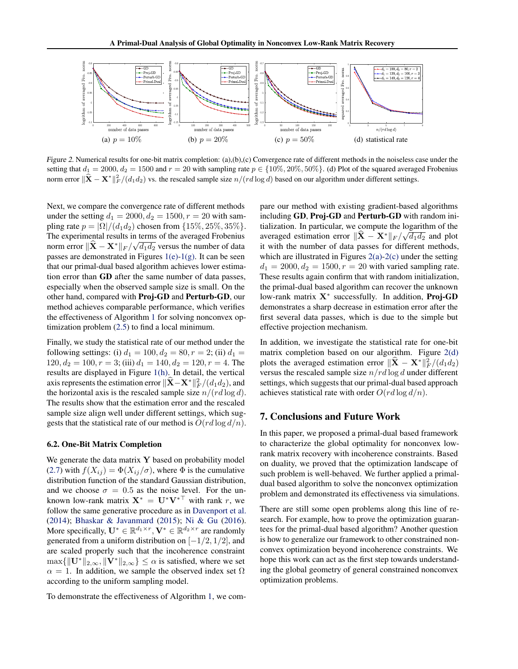<span id="page-7-0"></span>

Figure 2. Numerical results for one-bit matrix completion: (a),(b),(c) Convergence rate of different methods in the noiseless case under the setting that  $d_1 = 2000$ ,  $d_2 = 1500$  and  $r = 20$  with sampling rate  $p \in \{10\%, 20\%, 50\% \}$ . (d) Plot of the squared averaged Frobenius norm error  $\|\hat{\mathbf{X}} - \mathbf{X}^*\|_F^2/(d_1d_2)$  vs. the rescaled sample size  $n/(rd \log d)$  based on our algorithm under different settings.

Next, we compare the convergence rate of different methods under the setting  $d_1 = 2000, d_2 = 1500, r = 20$  with sampling rate  $p = |\Omega|/(d_1 d_2)$  chosen from  $\{15\%, 25\%, 35\%\}.$ The experimental results in terms of the averaged Frobenius norm error  $\|\hat{\mathbf{X}} - \mathbf{X}^*\|_F / \sqrt{d_1 d_2}$  versus the number of data passes are demonstrated in Figures [1\(e\)-1\(g\).](#page-6-0) It can be seen that our primal-dual based algorithm achieves lower estimation error than GD after the same number of data passes, especially when the observed sample size is small. On the other hand, compared with Proj-GD and Perturb-GD, our method achieves comparable performance, which verifies the effectiveness of Algorithm [1](#page-5-0) for solving nonconvex optimization problem [\(2.5\)](#page-3-0) to find a local minimum.

Finally, we study the statistical rate of our method under the following settings: (i)  $d_1 = 100, d_2 = 80, r = 2$ ; (ii)  $d_1 =$  $120, d_2 = 100, r = 3$ ; (iii)  $d_1 = 140, d_2 = 120, r = 4$ . The results are displayed in Figure [1\(h\).](#page-6-0) In detail, the vertical axis represents the estimation error  $\|\hat{\mathbf{X}} - \mathbf{X}^*\|_F^2 / (d_1 d_2)$ , and the horizontal axis is the rescaled sample size  $n/(rd \log d)$ . The results show that the estimation error and the rescaled sample size align well under different settings, which suggests that the statistical rate of our method is  $O(r d \log d/n)$ .

#### 6.2. One-Bit Matrix Completion

We generate the data matrix  $\bf{Y}$  based on probability model [\(2.7\)](#page-3-0) with  $f(X_{ij}) = \Phi(X_{ij}/\sigma)$ , where  $\Phi$  is the cumulative distribution function of the standard Gaussian distribution, and we choose  $\sigma = 0.5$  as the noise level. For the unknown low-rank matrix  $X^* = U^*V^{*T}$  with rank r, we follow the same generative procedure as in [Davenport et al.](#page-8-0) [\(2014\)](#page-8-0); [Bhaskar & Javanmard](#page-8-0) [\(2015\)](#page-8-0); [Ni & Gu](#page-9-0) [\(2016\)](#page-9-0). More specifically,  $\mathbf{U}^* \in \mathbb{R}^{d_1 \times r}$ ,  $\mathbf{V}^* \in \mathbb{R}^{d_2 \times r}$  are randomly generated from a uniform distribution on  $[-1/2, 1/2]$ , and are scaled properly such that the incoherence constraint  $\max\{\Vert \mathbf{U}^*\Vert_{2,\infty}, \Vert \mathbf{V}^*\Vert_{2,\infty}\}\leq \alpha$  is satisfied, where we set  $\alpha = 1$ . In addition, we sample the observed index set  $\Omega$ according to the uniform sampling model.

To demonstrate the effectiveness of Algorithm [1,](#page-5-0) we com-

pare our method with existing gradient-based algorithms including GD, Proj-GD and Perturb-GD with random initialization. In particular, we compute the logarithm of the averaged estimation error  $\|\hat{\mathbf{X}} - \mathbf{X}^*\|_F / \sqrt{d_1 d_2}$  and plot it with the number of data passes for different methods, which are illustrated in Figures  $2(a)-2(c)$  under the setting  $d_1 = 2000, d_2 = 1500, r = 20$  with varied sampling rate. These results again confirm that with random initialization, the primal-dual based algorithm can recover the unknown low-rank matrix X<sup>\*</sup> successfully. In addition, Proj-GD demonstrates a sharp decrease in estimation error after the first several data passes, which is due to the simple but effective projection mechanism.

In addition, we investigate the statistical rate for one-bit matrix completion based on our algorithm. Figure 2(d) plots the averaged estimation error  $\|\hat{\mathbf{X}} - \mathbf{X}^*\|_F^2/(d_1d_2)$ versus the rescaled sample size  $n/r d \log d$  under different settings, which suggests that our primal-dual based approach achieves statistical rate with order  $O(r d \log d/n)$ .

## 7. Conclusions and Future Work

In this paper, we proposed a primal-dual based framework to characterize the global optimality for nonconvex lowrank matrix recovery with incoherence constraints. Based on duality, we proved that the optimization landscape of such problem is well-behaved. We further applied a primaldual based algorithm to solve the nonconvex optimization problem and demonstrated its effectiveness via simulations.

There are still some open problems along this line of research. For example, how to prove the optimization guarantees for the primal-dual based algorithm? Another question is how to generalize our framework to other constrained nonconvex optimization beyond incoherence constraints. We hope this work can act as the first step towards understanding the global geometry of general constrained nonconvex optimization problems.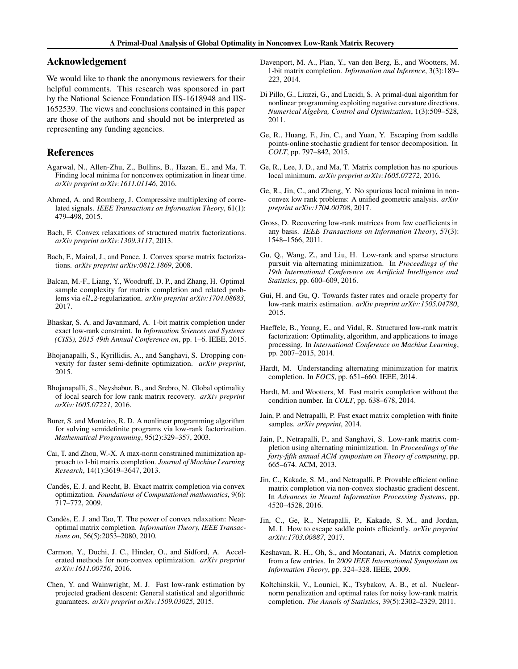## <span id="page-8-0"></span>Acknowledgement

We would like to thank the anonymous reviewers for their helpful comments. This research was sponsored in part by the National Science Foundation IIS-1618948 and IIS-1652539. The views and conclusions contained in this paper are those of the authors and should not be interpreted as representing any funding agencies.

# References

- Agarwal, N., Allen-Zhu, Z., Bullins, B., Hazan, E., and Ma, T. Finding local minima for nonconvex optimization in linear time. *arXiv preprint arXiv:1611.01146*, 2016.
- Ahmed, A. and Romberg, J. Compressive multiplexing of correlated signals. *IEEE Transactions on Information Theory*, 61(1): 479–498, 2015.
- Bach, F. Convex relaxations of structured matrix factorizations. *arXiv preprint arXiv:1309.3117*, 2013.
- Bach, F., Mairal, J., and Ponce, J. Convex sparse matrix factorizations. *arXiv preprint arXiv:0812.1869*, 2008.
- Balcan, M.-F., Liang, Y., Woodruff, D. P., and Zhang, H. Optimal sample complexity for matrix completion and related problems via ell 2-regularization. *arXiv preprint arXiv:1704.08683*, 2017.
- Bhaskar, S. A. and Javanmard, A. 1-bit matrix completion under exact low-rank constraint. In *Information Sciences and Systems (CISS), 2015 49th Annual Conference on*, pp. 1–6. IEEE, 2015.
- Bhojanapalli, S., Kyrillidis, A., and Sanghavi, S. Dropping convexity for faster semi-definite optimization. *arXiv preprint*, 2015.
- Bhojanapalli, S., Neyshabur, B., and Srebro, N. Global optimality of local search for low rank matrix recovery. *arXiv preprint arXiv:1605.07221*, 2016.
- Burer, S. and Monteiro, R. D. A nonlinear programming algorithm for solving semidefinite programs via low-rank factorization. *Mathematical Programming*, 95(2):329–357, 2003.
- Cai, T. and Zhou, W.-X. A max-norm constrained minimization approach to 1-bit matrix completion. *Journal of Machine Learning Research*, 14(1):3619–3647, 2013.
- Candès, E. J. and Recht, B. Exact matrix completion via convex optimization. *Foundations of Computational mathematics*, 9(6): 717–772, 2009.
- Candès, E. J. and Tao, T. The power of convex relaxation: Nearoptimal matrix completion. *Information Theory, IEEE Transactions on*, 56(5):2053–2080, 2010.
- Carmon, Y., Duchi, J. C., Hinder, O., and Sidford, A. Accelerated methods for non-convex optimization. *arXiv preprint arXiv:1611.00756*, 2016.
- Chen, Y. and Wainwright, M. J. Fast low-rank estimation by projected gradient descent: General statistical and algorithmic guarantees. *arXiv preprint arXiv:1509.03025*, 2015.
- Davenport, M. A., Plan, Y., van den Berg, E., and Wootters, M. 1-bit matrix completion. *Information and Inference*, 3(3):189– 223, 2014.
- Di Pillo, G., Liuzzi, G., and Lucidi, S. A primal-dual algorithm for nonlinear programming exploiting negative curvature directions. *Numerical Algebra, Control and Optimization*, 1(3):509–528, 2011.
- Ge, R., Huang, F., Jin, C., and Yuan, Y. Escaping from saddle points-online stochastic gradient for tensor decomposition. In *COLT*, pp. 797–842, 2015.
- Ge, R., Lee, J. D., and Ma, T. Matrix completion has no spurious local minimum. *arXiv preprint arXiv:1605.07272*, 2016.
- Ge, R., Jin, C., and Zheng, Y. No spurious local minima in nonconvex low rank problems: A unified geometric analysis. *arXiv preprint arXiv:1704.00708*, 2017.
- Gross, D. Recovering low-rank matrices from few coefficients in any basis. *IEEE Transactions on Information Theory*, 57(3): 1548–1566, 2011.
- Gu, Q., Wang, Z., and Liu, H. Low-rank and sparse structure pursuit via alternating minimization. In *Proceedings of the 19th International Conference on Artificial Intelligence and Statistics*, pp. 600–609, 2016.
- Gui, H. and Gu, Q. Towards faster rates and oracle property for low-rank matrix estimation. *arXiv preprint arXiv:1505.04780*, 2015.
- Haeffele, B., Young, E., and Vidal, R. Structured low-rank matrix factorization: Optimality, algorithm, and applications to image processing. In *International Conference on Machine Learning*, pp. 2007–2015, 2014.
- Hardt, M. Understanding alternating minimization for matrix completion. In *FOCS*, pp. 651–660. IEEE, 2014.
- Hardt, M. and Wootters, M. Fast matrix completion without the condition number. In *COLT*, pp. 638–678, 2014.
- Jain, P. and Netrapalli, P. Fast exact matrix completion with finite samples. *arXiv preprint*, 2014.
- Jain, P., Netrapalli, P., and Sanghavi, S. Low-rank matrix completion using alternating minimization. In *Proceedings of the forty-fifth annual ACM symposium on Theory of computing*, pp. 665–674. ACM, 2013.
- Jin, C., Kakade, S. M., and Netrapalli, P. Provable efficient online matrix completion via non-convex stochastic gradient descent. In *Advances in Neural Information Processing Systems*, pp. 4520–4528, 2016.
- Jin, C., Ge, R., Netrapalli, P., Kakade, S. M., and Jordan, M. I. How to escape saddle points efficiently. *arXiv preprint arXiv:1703.00887*, 2017.
- Keshavan, R. H., Oh, S., and Montanari, A. Matrix completion from a few entries. In *2009 IEEE International Symposium on Information Theory*, pp. 324–328. IEEE, 2009.
- Koltchinskii, V., Lounici, K., Tsybakov, A. B., et al. Nuclearnorm penalization and optimal rates for noisy low-rank matrix completion. *The Annals of Statistics*, 39(5):2302–2329, 2011.